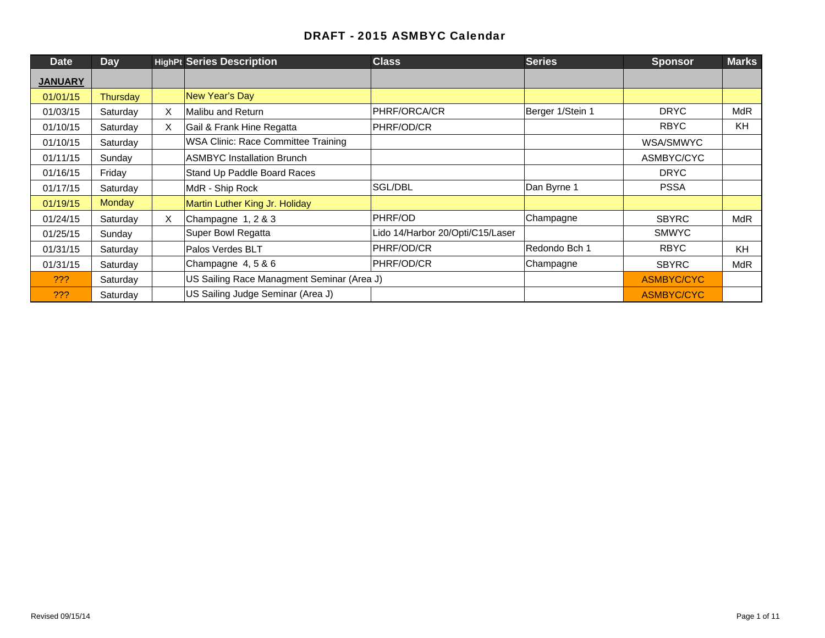| <b>Date</b>    | Day           |   | <b>HighPt Series Description</b>           | <b>Class</b>                     | <b>Series</b>    | <b>Sponsor</b>    | <b>Marks</b> |
|----------------|---------------|---|--------------------------------------------|----------------------------------|------------------|-------------------|--------------|
| <b>JANUARY</b> |               |   |                                            |                                  |                  |                   |              |
| 01/01/15       | Thursday      |   | New Year's Day                             |                                  |                  |                   |              |
| 01/03/15       | Saturday      | X | Malibu and Return                          | PHRF/ORCA/CR                     | Berger 1/Stein 1 | <b>DRYC</b>       | <b>MdR</b>   |
| 01/10/15       | Saturday      | X | Gail & Frank Hine Regatta                  | PHRF/OD/CR                       |                  | <b>RBYC</b>       | <b>KH</b>    |
| 01/10/15       | Saturday      |   | <b>WSA Clinic: Race Committee Training</b> |                                  |                  | WSA/SMWYC         |              |
| 01/11/15       | Sunday        |   | <b>ASMBYC Installation Brunch</b>          |                                  |                  | ASMBYC/CYC        |              |
| 01/16/15       | Friday        |   | Stand Up Paddle Board Races                |                                  |                  | <b>DRYC</b>       |              |
| 01/17/15       | Saturday      |   | MdR - Ship Rock                            | SGL/DBL                          | Dan Byrne 1      | <b>PSSA</b>       |              |
| 01/19/15       | <b>Monday</b> |   | Martin Luther King Jr. Holiday             |                                  |                  |                   |              |
| 01/24/15       | Saturday      | X | Champagne 1, 2 & 3                         | PHRF/OD                          | Champagne        | <b>SBYRC</b>      | <b>MdR</b>   |
| 01/25/15       | Sunday        |   | Super Bowl Regatta                         | Lido 14/Harbor 20/Opti/C15/Laser |                  | <b>SMWYC</b>      |              |
| 01/31/15       | Saturday      |   | Palos Verdes BLT                           | PHRF/OD/CR                       | Redondo Bch 1    | <b>RBYC</b>       | <b>KH</b>    |
| 01/31/15       | Saturday      |   | Champagne 4, 5 & 6                         | PHRF/OD/CR                       | Champagne        | <b>SBYRC</b>      | <b>MdR</b>   |
| ???            | Saturday      |   | US Sailing Race Managment Seminar (Area J) |                                  |                  | ASMBYC/CYC        |              |
| ???            | Saturday      |   | US Sailing Judge Seminar (Area J)          |                                  |                  | <b>ASMBYC/CYC</b> |              |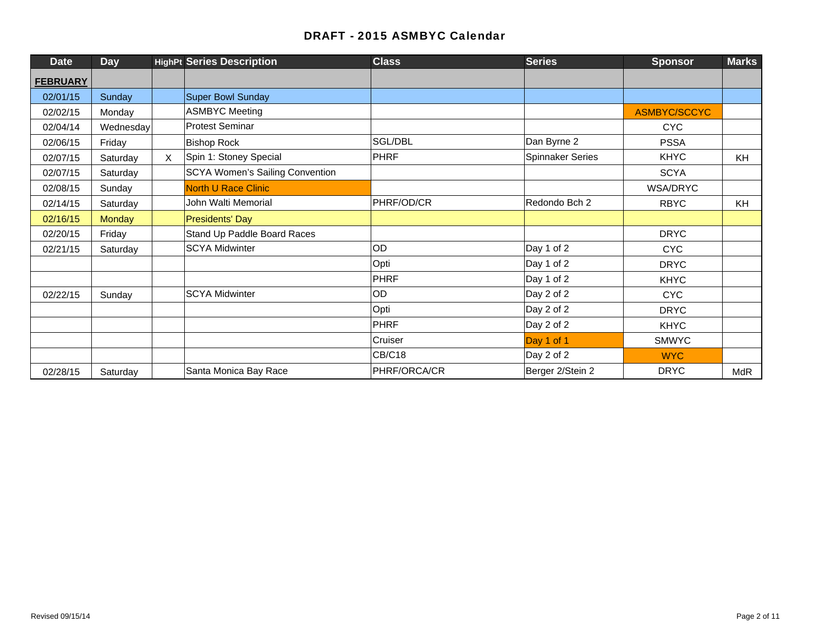| <b>Date</b>     | <b>Day</b>    |          | <b>HighPt Series Description</b>       | <b>Class</b> | <b>Series</b>           | <b>Sponsor</b>  | <b>Marks</b> |
|-----------------|---------------|----------|----------------------------------------|--------------|-------------------------|-----------------|--------------|
| <b>FEBRUARY</b> |               |          |                                        |              |                         |                 |              |
| 02/01/15        | Sunday        |          | Super Bowl Sunday                      |              |                         |                 |              |
| 02/02/15        | Monday        |          | <b>ASMBYC Meeting</b>                  |              |                         | ASMBYC/SCCYC    |              |
| 02/04/14        | Wednesday     |          | <b>Protest Seminar</b>                 |              |                         | <b>CYC</b>      |              |
| 02/06/15        | Friday        |          | <b>Bishop Rock</b>                     | SGL/DBL      | Dan Byrne 2             | <b>PSSA</b>     |              |
| 02/07/15        | Saturday      | $\times$ | Spin 1: Stoney Special                 | <b>PHRF</b>  | <b>Spinnaker Series</b> | <b>KHYC</b>     | KH           |
| 02/07/15        | Saturday      |          | <b>SCYA Women's Sailing Convention</b> |              |                         | <b>SCYA</b>     |              |
| 02/08/15        | Sunday        |          | <b>North U Race Clinic</b>             |              |                         | <b>WSA/DRYC</b> |              |
| 02/14/15        | Saturday      |          | John Walti Memorial                    | PHRF/OD/CR   | Redondo Bch 2           | <b>RBYC</b>     | KH           |
| 02/16/15        | <b>Monday</b> |          | <b>Presidents' Day</b>                 |              |                         |                 |              |
| 02/20/15        | Friday        |          | Stand Up Paddle Board Races            |              |                         | <b>DRYC</b>     |              |
| 02/21/15        | Saturday      |          | <b>SCYA Midwinter</b>                  | OD           | Day 1 of 2              | <b>CYC</b>      |              |
|                 |               |          |                                        | Opti         | Day 1 of 2              | <b>DRYC</b>     |              |
|                 |               |          |                                        | <b>PHRF</b>  | Day 1 of 2              | <b>KHYC</b>     |              |
| 02/22/15        | Sunday        |          | <b>SCYA Midwinter</b>                  | <b>OD</b>    | Day 2 of 2              | <b>CYC</b>      |              |
|                 |               |          |                                        | Opti         | Day 2 of 2              | <b>DRYC</b>     |              |
|                 |               |          |                                        | <b>PHRF</b>  | Day 2 of 2              | <b>KHYC</b>     |              |
|                 |               |          |                                        | Cruiser      | Day 1 of 1              | <b>SMWYC</b>    |              |
|                 |               |          |                                        | CB/C18       | Day 2 of 2              | <b>WYC</b>      |              |
| 02/28/15        | Saturday      |          | Santa Monica Bay Race                  | PHRF/ORCA/CR | Berger 2/Stein 2        | <b>DRYC</b>     | <b>MdR</b>   |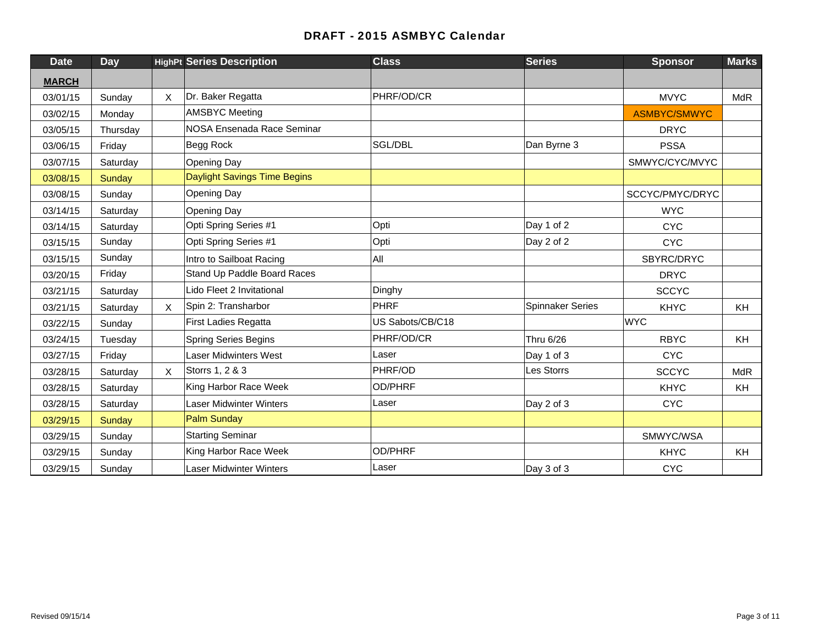| <b>Date</b>  | Day      |          | <b>HighPt Series Description</b>    | <b>Class</b>     | <b>Series</b>           | <b>Sponsor</b>      | <b>Marks</b> |
|--------------|----------|----------|-------------------------------------|------------------|-------------------------|---------------------|--------------|
| <b>MARCH</b> |          |          |                                     |                  |                         |                     |              |
| 03/01/15     | Sunday   | X        | Dr. Baker Regatta                   | PHRF/OD/CR       |                         | <b>MVYC</b>         | <b>MdR</b>   |
| 03/02/15     | Monday   |          | <b>AMSBYC Meeting</b>               |                  |                         | <b>ASMBYC/SMWYC</b> |              |
| 03/05/15     | Thursday |          | NOSA Ensenada Race Seminar          |                  |                         | <b>DRYC</b>         |              |
| 03/06/15     | Friday   |          | Begg Rock                           | SGL/DBL          | Dan Byrne 3             | <b>PSSA</b>         |              |
| 03/07/15     | Saturday |          | Opening Day                         |                  |                         | SMWYC/CYC/MVYC      |              |
| 03/08/15     | Sunday   |          | <b>Daylight Savings Time Begins</b> |                  |                         |                     |              |
| 03/08/15     | Sunday   |          | Opening Day                         |                  |                         | SCCYC/PMYC/DRYC     |              |
| 03/14/15     | Saturday |          | Opening Day                         |                  |                         | <b>WYC</b>          |              |
| 03/14/15     | Saturday |          | Opti Spring Series #1               | Opti             | Day 1 of 2              | <b>CYC</b>          |              |
| 03/15/15     | Sunday   |          | Opti Spring Series #1               | Opti             | Day 2 of 2              | <b>CYC</b>          |              |
| 03/15/15     | Sunday   |          | Intro to Sailboat Racing            | All              |                         | SBYRC/DRYC          |              |
| 03/20/15     | Friday   |          | Stand Up Paddle Board Races         |                  |                         | <b>DRYC</b>         |              |
| 03/21/15     | Saturday |          | Lido Fleet 2 Invitational           | Dinghy           |                         | <b>SCCYC</b>        |              |
| 03/21/15     | Saturday | $\times$ | Spin 2: Transharbor                 | <b>PHRF</b>      | <b>Spinnaker Series</b> | <b>KHYC</b>         | KH           |
| 03/22/15     | Sunday   |          | <b>First Ladies Regatta</b>         | US Sabots/CB/C18 |                         | <b>WYC</b>          |              |
| 03/24/15     | Tuesday  |          | <b>Spring Series Begins</b>         | PHRF/OD/CR       | Thru 6/26               | <b>RBYC</b>         | KH           |
| 03/27/15     | Friday   |          | <b>Laser Midwinters West</b>        | Laser            | Day 1 of 3              | <b>CYC</b>          |              |
| 03/28/15     | Saturday | $\times$ | Storrs 1, 2 & 3                     | PHRF/OD          | Les Storrs              | <b>SCCYC</b>        | <b>MdR</b>   |
| 03/28/15     | Saturday |          | King Harbor Race Week               | OD/PHRF          |                         | <b>KHYC</b>         | KH           |
| 03/28/15     | Saturday |          | <b>Laser Midwinter Winters</b>      | Laser            | Day 2 of 3              | <b>CYC</b>          |              |
| 03/29/15     | Sunday   |          | <b>Palm Sunday</b>                  |                  |                         |                     |              |
| 03/29/15     | Sunday   |          | <b>Starting Seminar</b>             |                  |                         | SMWYC/WSA           |              |
| 03/29/15     | Sunday   |          | King Harbor Race Week               | OD/PHRF          |                         | <b>KHYC</b>         | <b>KH</b>    |
| 03/29/15     | Sunday   |          | <b>Laser Midwinter Winters</b>      | Laser            | Day 3 of 3              | <b>CYC</b>          |              |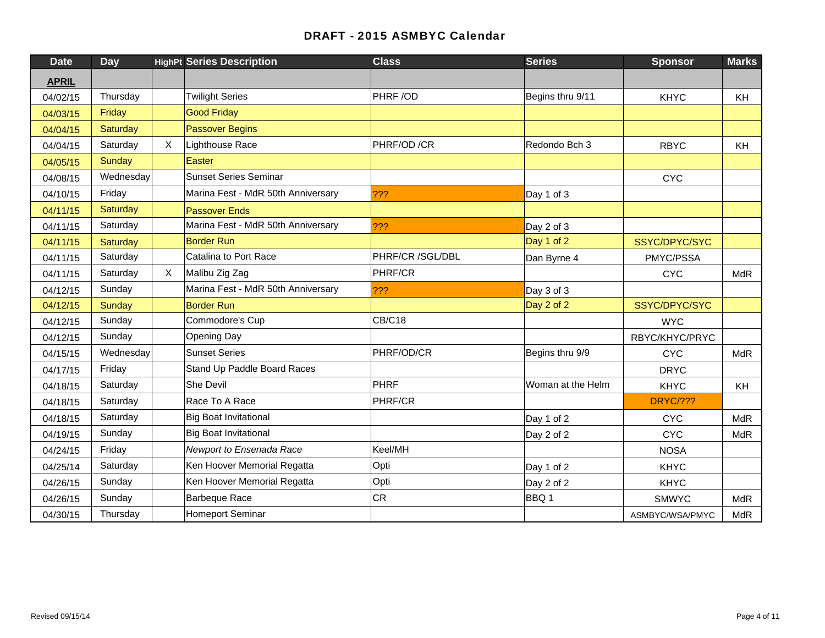| <b>Date</b>  | <b>Day</b> |              | <b>HighPt Series Description</b>   | <b>Class</b>     | <b>Series</b>     | <b>Sponsor</b>  | <b>Marks</b> |
|--------------|------------|--------------|------------------------------------|------------------|-------------------|-----------------|--------------|
| <b>APRIL</b> |            |              |                                    |                  |                   |                 |              |
| 04/02/15     | Thursday   |              | <b>Twilight Series</b>             | PHRF/OD          | Begins thru 9/11  | <b>KHYC</b>     | KH           |
| 04/03/15     | Friday     |              | <b>Good Friday</b>                 |                  |                   |                 |              |
| 04/04/15     | Saturday   |              | <b>Passover Begins</b>             |                  |                   |                 |              |
| 04/04/15     | Saturday   | $\mathsf{X}$ | Lighthouse Race                    | PHRF/OD /CR      | Redondo Bch 3     | <b>RBYC</b>     | KH           |
| 04/05/15     | Sunday     |              | Easter                             |                  |                   |                 |              |
| 04/08/15     | Wednesday  |              | <b>Sunset Series Seminar</b>       |                  |                   | <b>CYC</b>      |              |
| 04/10/15     | Friday     |              | Marina Fest - MdR 50th Anniversary | ???              | Day 1 of 3        |                 |              |
| 04/11/15     | Saturday   |              | <b>Passover Ends</b>               |                  |                   |                 |              |
| 04/11/15     | Saturday   |              | Marina Fest - MdR 50th Anniversary | ???              | Day 2 of 3        |                 |              |
| 04/11/15     | Saturday   |              | <b>Border Run</b>                  |                  | Day 1 of 2        | SSYC/DPYC/SYC   |              |
| 04/11/15     | Saturday   |              | Catalina to Port Race              | PHRF/CR /SGL/DBL | Dan Byrne 4       | PMYC/PSSA       |              |
| 04/11/15     | Saturday   | $\times$     | Malibu Zig Zag                     | PHRF/CR          |                   | <b>CYC</b>      | <b>MdR</b>   |
| 04/12/15     | Sunday     |              | Marina Fest - MdR 50th Anniversary | ???              | Day 3 of 3        |                 |              |
| 04/12/15     | Sunday     |              | <b>Border Run</b>                  |                  | Day 2 of 2        | SSYC/DPYC/SYC   |              |
| 04/12/15     | Sunday     |              | Commodore's Cup                    | CB/C18           |                   | <b>WYC</b>      |              |
| 04/12/15     | Sunday     |              | Opening Day                        |                  |                   | RBYC/KHYC/PRYC  |              |
| 04/15/15     | Wednesday  |              | <b>Sunset Series</b>               | PHRF/OD/CR       | Begins thru 9/9   | <b>CYC</b>      | <b>MdR</b>   |
| 04/17/15     | Friday     |              | Stand Up Paddle Board Races        |                  |                   | <b>DRYC</b>     |              |
| 04/18/15     | Saturday   |              | She Devil                          | PHRF             | Woman at the Helm | <b>KHYC</b>     | KH           |
| 04/18/15     | Saturday   |              | Race To A Race                     | PHRF/CR          |                   | <b>DRYC/???</b> |              |
| 04/18/15     | Saturday   |              | <b>Big Boat Invitational</b>       |                  | Day 1 of 2        | <b>CYC</b>      | <b>MdR</b>   |
| 04/19/15     | Sunday     |              | <b>Big Boat Invitational</b>       |                  | Day 2 of 2        | <b>CYC</b>      | <b>MdR</b>   |
| 04/24/15     | Friday     |              | Newport to Ensenada Race           | Keel/MH          |                   | <b>NOSA</b>     |              |
| 04/25/14     | Saturday   |              | Ken Hoover Memorial Regatta        | Opti             | Day 1 of 2        | <b>KHYC</b>     |              |
| 04/26/15     | Sunday     |              | Ken Hoover Memorial Regatta        | Opti             | Day 2 of 2        | <b>KHYC</b>     |              |
| 04/26/15     | Sunday     |              | <b>Barbeque Race</b>               | <b>CR</b>        | BBQ 1             | <b>SMWYC</b>    | <b>MdR</b>   |
| 04/30/15     | Thursday   |              | <b>Homeport Seminar</b>            |                  |                   | ASMBYC/WSA/PMYC | MdR          |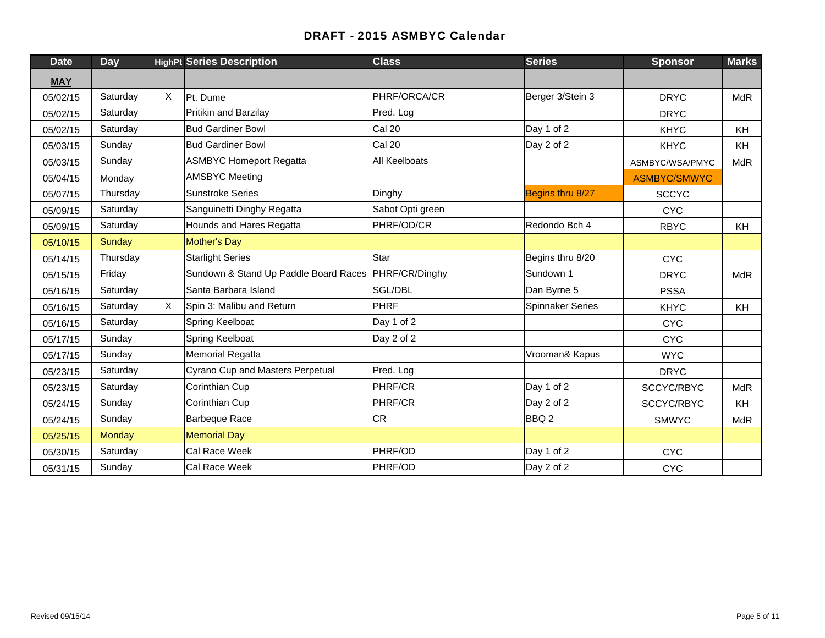| <b>Date</b> | <b>Day</b>    |              | <b>HighPt Series Description</b>                     | <b>Class</b>     | <b>Series</b>           | <b>Sponsor</b>  | <b>Marks</b> |
|-------------|---------------|--------------|------------------------------------------------------|------------------|-------------------------|-----------------|--------------|
| <b>MAY</b>  |               |              |                                                      |                  |                         |                 |              |
| 05/02/15    | Saturday      | X            | Pt. Dume                                             | PHRF/ORCA/CR     | Berger 3/Stein 3        | <b>DRYC</b>     | <b>MdR</b>   |
| 05/02/15    | Saturday      |              | Pritikin and Barzilay                                | Pred. Log        |                         | <b>DRYC</b>     |              |
| 05/02/15    | Saturday      |              | <b>Bud Gardiner Bowl</b>                             | Cal 20           | Day 1 of 2              | <b>KHYC</b>     | KH           |
| 05/03/15    | Sunday        |              | <b>Bud Gardiner Bowl</b>                             | <b>Cal 20</b>    | Day 2 of 2              | <b>KHYC</b>     | KH           |
| 05/03/15    | Sunday        |              | <b>ASMBYC Homeport Regatta</b>                       | All Keelboats    |                         | ASMBYC/WSA/PMYC | <b>MdR</b>   |
| 05/04/15    | Monday        |              | <b>AMSBYC Meeting</b>                                |                  |                         | ASMBYC/SMWYC    |              |
| 05/07/15    | Thursday      |              | <b>Sunstroke Series</b>                              | Dinghy           | Begins thru 8/27        | <b>SCCYC</b>    |              |
| 05/09/15    | Saturday      |              | Sanguinetti Dinghy Regatta                           | Sabot Opti green |                         | <b>CYC</b>      |              |
| 05/09/15    | Saturday      |              | Hounds and Hares Regatta                             | PHRF/OD/CR       | Redondo Bch 4           | <b>RBYC</b>     | KH           |
| 05/10/15    | Sunday        |              | <b>Mother's Day</b>                                  |                  |                         |                 |              |
| 05/14/15    | Thursday      |              | <b>Starlight Series</b>                              | Star             | Begins thru 8/20        | <b>CYC</b>      |              |
| 05/15/15    | Friday        |              | Sundown & Stand Up Paddle Board Races PHRF/CR/Dinghy |                  | Sundown 1               | <b>DRYC</b>     | <b>MdR</b>   |
| 05/16/15    | Saturday      |              | Santa Barbara Island                                 | SGL/DBL          | Dan Byrne 5             | <b>PSSA</b>     |              |
| 05/16/15    | Saturday      | $\mathsf{X}$ | Spin 3: Malibu and Return                            | <b>PHRF</b>      | <b>Spinnaker Series</b> | <b>KHYC</b>     | KH           |
| 05/16/15    | Saturday      |              | Spring Keelboat                                      | Day 1 of 2       |                         | <b>CYC</b>      |              |
| 05/17/15    | Sunday        |              | Spring Keelboat                                      | Day 2 of 2       |                         | <b>CYC</b>      |              |
| 05/17/15    | Sunday        |              | <b>Memorial Regatta</b>                              |                  | Vrooman& Kapus          | <b>WYC</b>      |              |
| 05/23/15    | Saturday      |              | <b>Cyrano Cup and Masters Perpetual</b>              | Pred. Log        |                         | <b>DRYC</b>     |              |
| 05/23/15    | Saturday      |              | Corinthian Cup                                       | PHRF/CR          | Day 1 of 2              | SCCYC/RBYC      | <b>MdR</b>   |
| 05/24/15    | Sunday        |              | Corinthian Cup                                       | PHRF/CR          | Day 2 of 2              | SCCYC/RBYC      | KH           |
| 05/24/15    | Sunday        |              | <b>Barbeque Race</b>                                 | <b>CR</b>        | BBQ <sub>2</sub>        | <b>SMWYC</b>    | <b>MdR</b>   |
| 05/25/15    | <b>Monday</b> |              | <b>Memorial Day</b>                                  |                  |                         |                 |              |
| 05/30/15    | Saturday      |              | Cal Race Week                                        | PHRF/OD          | Day 1 of 2              | <b>CYC</b>      |              |
| 05/31/15    | Sunday        |              | Cal Race Week                                        | PHRF/OD          | Day 2 of 2              | <b>CYC</b>      |              |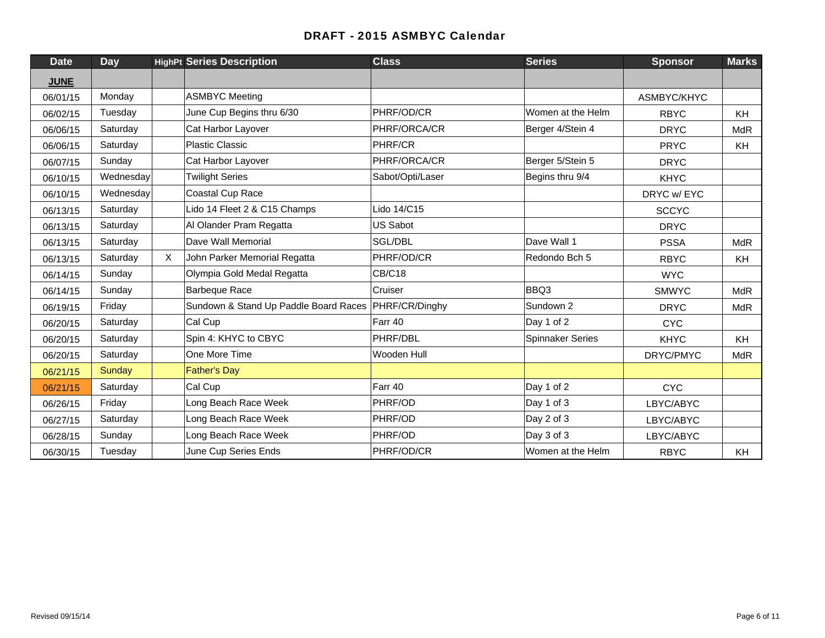| <b>Date</b> | <b>Day</b> |   | <b>HighPt Series Description</b>      | <b>Class</b>     | <b>Series</b>           | <b>Sponsor</b> | <b>Marks</b> |
|-------------|------------|---|---------------------------------------|------------------|-------------------------|----------------|--------------|
| <b>JUNE</b> |            |   |                                       |                  |                         |                |              |
| 06/01/15    | Monday     |   | <b>ASMBYC Meeting</b>                 |                  |                         | ASMBYC/KHYC    |              |
| 06/02/15    | Tuesday    |   | June Cup Begins thru 6/30             | PHRF/OD/CR       | Women at the Helm       | <b>RBYC</b>    | KH           |
| 06/06/15    | Saturday   |   | Cat Harbor Layover                    | PHRF/ORCA/CR     | Berger 4/Stein 4        | <b>DRYC</b>    | <b>MdR</b>   |
| 06/06/15    | Saturday   |   | <b>Plastic Classic</b>                | <b>PHRF/CR</b>   |                         | <b>PRYC</b>    | KH           |
| 06/07/15    | Sunday     |   | Cat Harbor Layover                    | PHRF/ORCA/CR     | Berger 5/Stein 5        | <b>DRYC</b>    |              |
| 06/10/15    | Wednesday  |   | <b>Twilight Series</b>                | Sabot/Opti/Laser | Begins thru 9/4         | <b>KHYC</b>    |              |
| 06/10/15    | Wednesday  |   | Coastal Cup Race                      |                  |                         | DRYC w/EYC     |              |
| 06/13/15    | Saturday   |   | Lido 14 Fleet 2 & C15 Champs          | Lido 14/C15      |                         | <b>SCCYC</b>   |              |
| 06/13/15    | Saturday   |   | Al Olander Pram Regatta               | <b>US Sabot</b>  |                         | <b>DRYC</b>    |              |
| 06/13/15    | Saturday   |   | Dave Wall Memorial                    | SGL/DBL          | Dave Wall 1             | <b>PSSA</b>    | <b>MdR</b>   |
| 06/13/15    | Saturday   | X | John Parker Memorial Regatta          | PHRF/OD/CR       | Redondo Bch 5           | <b>RBYC</b>    | KH           |
| 06/14/15    | Sunday     |   | Olympia Gold Medal Regatta            | CB/C18           |                         | <b>WYC</b>     |              |
| 06/14/15    | Sunday     |   | <b>Barbeque Race</b>                  | Cruiser          | BBQ3                    | <b>SMWYC</b>   | <b>MdR</b>   |
| 06/19/15    | Friday     |   | Sundown & Stand Up Paddle Board Races | PHRF/CR/Dinghy   | Sundown 2               | <b>DRYC</b>    | <b>MdR</b>   |
| 06/20/15    | Saturday   |   | Cal Cup                               | Farr 40          | Day 1 of 2              | <b>CYC</b>     |              |
| 06/20/15    | Saturday   |   | Spin 4: KHYC to CBYC                  | PHRF/DBL         | <b>Spinnaker Series</b> | <b>KHYC</b>    | KH           |
| 06/20/15    | Saturday   |   | One More Time                         | Wooden Hull      |                         | DRYC/PMYC      | <b>MdR</b>   |
| 06/21/15    | Sunday     |   | <b>Father's Day</b>                   |                  |                         |                |              |
| 06/21/15    | Saturday   |   | Cal Cup                               | Farr 40          | Day 1 of 2              | <b>CYC</b>     |              |
| 06/26/15    | Friday     |   | Long Beach Race Week                  | PHRF/OD          | Day 1 of 3              | LBYC/ABYC      |              |
| 06/27/15    | Saturday   |   | Long Beach Race Week                  | PHRF/OD          | Day 2 of 3              | LBYC/ABYC      |              |
| 06/28/15    | Sunday     |   | Long Beach Race Week                  | PHRF/OD          | Day 3 of 3              | LBYC/ABYC      |              |
| 06/30/15    | Tuesday    |   | June Cup Series Ends                  | PHRF/OD/CR       | Women at the Helm       | <b>RBYC</b>    | KH           |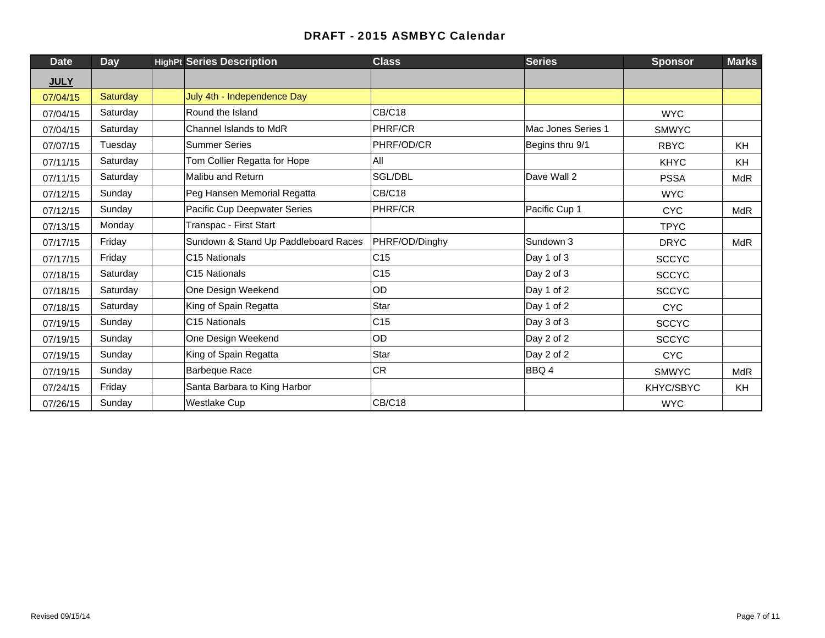| <b>Date</b> | <b>Day</b> | <b>HighPt Series Description</b>     | <b>Class</b>    | <b>Series</b>      | <b>Sponsor</b> | <b>Marks</b> |
|-------------|------------|--------------------------------------|-----------------|--------------------|----------------|--------------|
| <b>JULY</b> |            |                                      |                 |                    |                |              |
| 07/04/15    | Saturday   | July 4th - Independence Day          |                 |                    |                |              |
| 07/04/15    | Saturday   | Round the Island                     | CB/C18          |                    | <b>WYC</b>     |              |
| 07/04/15    | Saturday   | Channel Islands to MdR               | PHRF/CR         | Mac Jones Series 1 | <b>SMWYC</b>   |              |
| 07/07/15    | Tuesday    | <b>Summer Series</b>                 | PHRF/OD/CR      | Begins thru 9/1    | <b>RBYC</b>    | KH           |
| 07/11/15    | Saturday   | Tom Collier Regatta for Hope         | All             |                    | <b>KHYC</b>    | KH           |
| 07/11/15    | Saturday   | Malibu and Return                    | SGL/DBL         | Dave Wall 2        | <b>PSSA</b>    | <b>MdR</b>   |
| 07/12/15    | Sunday     | Peg Hansen Memorial Regatta          | CB/C18          |                    | <b>WYC</b>     |              |
| 07/12/15    | Sunday     | Pacific Cup Deepwater Series         | PHRF/CR         | Pacific Cup 1      | <b>CYC</b>     | <b>MdR</b>   |
| 07/13/15    | Monday     | Transpac - First Start               |                 |                    | <b>TPYC</b>    |              |
| 07/17/15    | Friday     | Sundown & Stand Up Paddleboard Races | PHRF/OD/Dinghy  | Sundown 3          | <b>DRYC</b>    | MdR          |
| 07/17/15    | Friday     | C15 Nationals                        | C <sub>15</sub> | Day 1 of 3         | <b>SCCYC</b>   |              |
| 07/18/15    | Saturday   | C15 Nationals                        | C <sub>15</sub> | Day 2 of 3         | <b>SCCYC</b>   |              |
| 07/18/15    | Saturday   | One Design Weekend                   | OD              | Day 1 of 2         | <b>SCCYC</b>   |              |
| 07/18/15    | Saturday   | King of Spain Regatta                | <b>Star</b>     | Day 1 of 2         | <b>CYC</b>     |              |
| 07/19/15    | Sunday     | C15 Nationals                        | C <sub>15</sub> | Day 3 of 3         | <b>SCCYC</b>   |              |
| 07/19/15    | Sunday     | One Design Weekend                   | OD              | Day 2 of 2         | <b>SCCYC</b>   |              |
| 07/19/15    | Sunday     | King of Spain Regatta                | <b>Star</b>     | Day 2 of 2         | <b>CYC</b>     |              |
| 07/19/15    | Sunday     | <b>Barbeque Race</b>                 | <b>CR</b>       | BBQ 4              | <b>SMWYC</b>   | <b>MdR</b>   |
| 07/24/15    | Friday     | Santa Barbara to King Harbor         |                 |                    | KHYC/SBYC      | KH           |
| 07/26/15    | Sunday     | <b>Westlake Cup</b>                  | CB/C18          |                    | <b>WYC</b>     |              |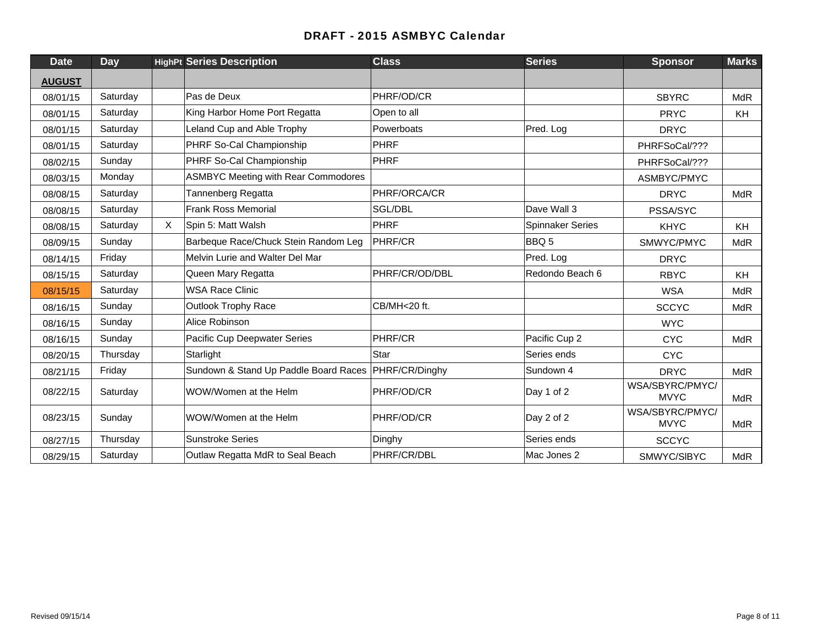| <b>Date</b>   | <b>Day</b> |          | <b>HighPt Series Description</b>           | <b>Class</b>      | <b>Series</b>           | <b>Sponsor</b>                 | <b>Marks</b> |
|---------------|------------|----------|--------------------------------------------|-------------------|-------------------------|--------------------------------|--------------|
| <b>AUGUST</b> |            |          |                                            |                   |                         |                                |              |
| 08/01/15      | Saturday   |          | Pas de Deux                                | PHRF/OD/CR        |                         | <b>SBYRC</b>                   | <b>MdR</b>   |
| 08/01/15      | Saturday   |          | King Harbor Home Port Regatta              | Open to all       |                         | <b>PRYC</b>                    | KH           |
| 08/01/15      | Saturday   |          | Leland Cup and Able Trophy                 | Powerboats        | Pred. Log               | <b>DRYC</b>                    |              |
| 08/01/15      | Saturday   |          | PHRF So-Cal Championship                   | PHRF              |                         | PHRFSoCal/???                  |              |
| 08/02/15      | Sunday     |          | PHRF So-Cal Championship                   | PHRF              |                         | PHRFSoCal/???                  |              |
| 08/03/15      | Monday     |          | <b>ASMBYC Meeting with Rear Commodores</b> |                   |                         | ASMBYC/PMYC                    |              |
| 08/08/15      | Saturday   |          | Tannenberg Regatta                         | PHRF/ORCA/CR      |                         | <b>DRYC</b>                    | <b>MdR</b>   |
| 08/08/15      | Saturday   |          | <b>Frank Ross Memorial</b>                 | <b>SGL/DBL</b>    | Dave Wall 3             | PSSA/SYC                       |              |
| 08/08/15      | Saturday   | $\times$ | Spin 5: Matt Walsh                         | PHRF              | <b>Spinnaker Series</b> | <b>KHYC</b>                    | KH           |
| 08/09/15      | Sunday     |          | Barbeque Race/Chuck Stein Random Leg       | <b>PHRF/CR</b>    | BBQ 5                   | SMWYC/PMYC                     | <b>MdR</b>   |
| 08/14/15      | Friday     |          | Melvin Lurie and Walter Del Mar            |                   | Pred. Log               | <b>DRYC</b>                    |              |
| 08/15/15      | Saturday   |          | Queen Mary Regatta                         | PHRF/CR/OD/DBL    | Redondo Beach 6         | <b>RBYC</b>                    | KH           |
| 08/15/15      | Saturday   |          | <b>WSA Race Clinic</b>                     |                   |                         | <b>WSA</b>                     | <b>MdR</b>   |
| 08/16/15      | Sunday     |          | <b>Outlook Trophy Race</b>                 | CB/MH<20 ft.      |                         | <b>SCCYC</b>                   | <b>MdR</b>   |
| 08/16/15      | Sunday     |          | Alice Robinson                             |                   |                         | <b>WYC</b>                     |              |
| 08/16/15      | Sunday     |          | Pacific Cup Deepwater Series               | <b>PHRF/CR</b>    | Pacific Cup 2           | <b>CYC</b>                     | <b>MdR</b>   |
| 08/20/15      | Thursday   |          | Starlight                                  | Star              | Series ends             | <b>CYC</b>                     |              |
| 08/21/15      | Friday     |          | Sundown & Stand Up Paddle Board Races      | PHRF/CR/Dinghy    | Sundown 4               | <b>DRYC</b>                    | <b>MdR</b>   |
| 08/22/15      | Saturday   |          | WOW/Women at the Helm                      | PHRF/OD/CR        | Day 1 of 2              | WSA/SBYRC/PMYC/<br><b>MVYC</b> | <b>MdR</b>   |
| 08/23/15      | Sunday     |          | WOW/Women at the Helm                      | <b>PHRF/OD/CR</b> | Day 2 of 2              | WSA/SBYRC/PMYC/<br><b>MVYC</b> | MdR          |
| 08/27/15      | Thursday   |          | <b>Sunstroke Series</b>                    | Dinghy            | Series ends             | <b>SCCYC</b>                   |              |
| 08/29/15      | Saturday   |          | Outlaw Regatta MdR to Seal Beach           | PHRF/CR/DBL       | Mac Jones 2             | SMWYC/SIBYC                    | MdR          |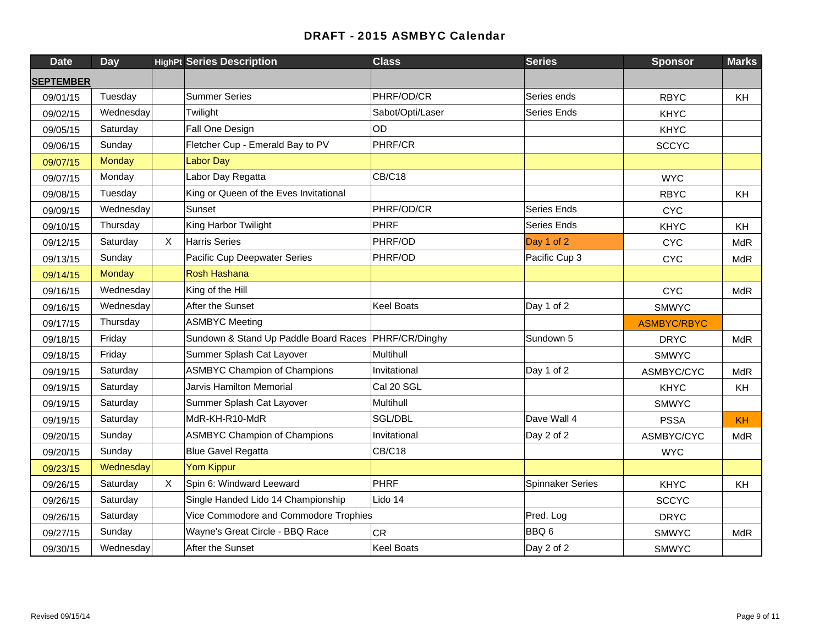| <b>Date</b>      | Day           |              | <b>HighPt Series Description</b>       | <b>Class</b>      | <b>Series</b>           | <b>Sponsor</b>     | <b>Marks</b> |
|------------------|---------------|--------------|----------------------------------------|-------------------|-------------------------|--------------------|--------------|
| <b>SEPTEMBER</b> |               |              |                                        |                   |                         |                    |              |
| 09/01/15         | Tuesday       |              | <b>Summer Series</b>                   | PHRF/OD/CR        | Series ends             | <b>RBYC</b>        | KH           |
| 09/02/15         | Wednesday     |              | Twilight                               | Sabot/Opti/Laser  | Series Ends             | <b>KHYC</b>        |              |
| 09/05/15         | Saturday      |              | Fall One Design                        | OD                |                         | <b>KHYC</b>        |              |
| 09/06/15         | Sunday        |              | Fletcher Cup - Emerald Bay to PV       | PHRF/CR           |                         | <b>SCCYC</b>       |              |
| 09/07/15         | <b>Monday</b> |              | <b>Labor Day</b>                       |                   |                         |                    |              |
| 09/07/15         | Monday        |              | Labor Day Regatta                      | CB/C18            |                         | <b>WYC</b>         |              |
| 09/08/15         | Tuesday       |              | King or Queen of the Eves Invitational |                   |                         | <b>RBYC</b>        | KH           |
| 09/09/15         | Wednesday     |              | Sunset                                 | PHRF/OD/CR        | <b>Series Ends</b>      | <b>CYC</b>         |              |
| 09/10/15         | Thursday      |              | King Harbor Twilight                   | PHRF              | Series Ends             | <b>KHYC</b>        | KH           |
| 09/12/15         | Saturday      | $\mathsf{X}$ | Harris Series                          | PHRF/OD           | Day 1 of 2              | <b>CYC</b>         | <b>MdR</b>   |
| 09/13/15         | Sunday        |              | Pacific Cup Deepwater Series           | PHRF/OD           | Pacific Cup 3           | <b>CYC</b>         | <b>MdR</b>   |
| 09/14/15         | <b>Monday</b> |              | <b>Rosh Hashana</b>                    |                   |                         |                    |              |
| 09/16/15         | Wednesday     |              | King of the Hill                       |                   |                         | <b>CYC</b>         | <b>MdR</b>   |
| 09/16/15         | Wednesday     |              | After the Sunset                       | <b>Keel Boats</b> | Day 1 of 2              | <b>SMWYC</b>       |              |
| 09/17/15         | Thursday      |              | <b>ASMBYC Meeting</b>                  |                   |                         | <b>ASMBYC/RBYC</b> |              |
| 09/18/15         | Friday        |              | Sundown & Stand Up Paddle Board Races  | PHRF/CR/Dinghy    | Sundown 5               | <b>DRYC</b>        | <b>MdR</b>   |
| 09/18/15         | Friday        |              | Summer Splash Cat Layover              | Multihull         |                         | <b>SMWYC</b>       |              |
| 09/19/15         | Saturday      |              | <b>ASMBYC Champion of Champions</b>    | Invitational      | Day 1 of 2              | ASMBYC/CYC         | <b>MdR</b>   |
| 09/19/15         | Saturday      |              | <b>Jarvis Hamilton Memorial</b>        | Cal 20 SGL        |                         | <b>KHYC</b>        | KH           |
| 09/19/15         | Saturday      |              | Summer Splash Cat Layover              | Multihull         |                         | <b>SMWYC</b>       |              |
| 09/19/15         | Saturday      |              | MdR-KH-R10-MdR                         | SGL/DBL           | Dave Wall 4             | <b>PSSA</b>        | <b>KH</b>    |
| 09/20/15         | Sunday        |              | <b>ASMBYC Champion of Champions</b>    | Invitational      | Day 2 of 2              | ASMBYC/CYC         | MdR          |
| 09/20/15         | Sunday        |              | <b>Blue Gavel Regatta</b>              | CB/C18            |                         | <b>WYC</b>         |              |
| 09/23/15         | Wednesday     |              | <b>Yom Kippur</b>                      |                   |                         |                    |              |
| 09/26/15         | Saturday      | $\times$     | Spin 6: Windward Leeward               | PHRF              | <b>Spinnaker Series</b> | <b>KHYC</b>        | KH           |
| 09/26/15         | Saturday      |              | Single Handed Lido 14 Championship     | Lido 14           |                         | <b>SCCYC</b>       |              |
| 09/26/15         | Saturday      |              | Vice Commodore and Commodore Trophies  |                   | Pred. Log               | <b>DRYC</b>        |              |
| 09/27/15         | Sunday        |              | Wayne's Great Circle - BBQ Race        | <b>CR</b>         | BBQ6                    | <b>SMWYC</b>       | <b>MdR</b>   |
| 09/30/15         | Wednesday     |              | After the Sunset                       | <b>Keel Boats</b> | Day 2 of 2              | <b>SMWYC</b>       |              |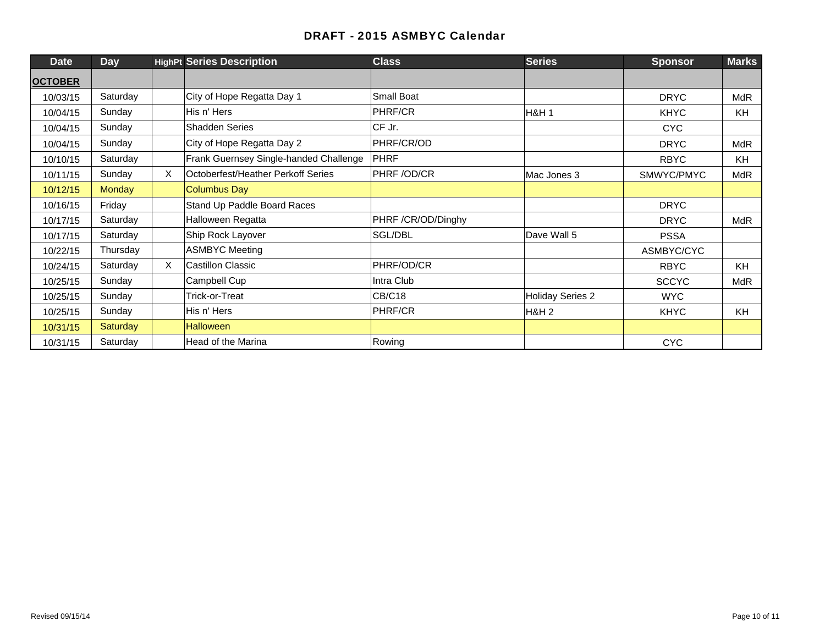| <b>Date</b>    | <b>Day</b>    |   | <b>HighPt Series Description</b>       | <b>Class</b>      | <b>Series</b>           | <b>Sponsor</b> | <b>Marks</b> |
|----------------|---------------|---|----------------------------------------|-------------------|-------------------------|----------------|--------------|
| <b>OCTOBER</b> |               |   |                                        |                   |                         |                |              |
| 10/03/15       | Saturday      |   | City of Hope Regatta Day 1             | <b>Small Boat</b> |                         | <b>DRYC</b>    | <b>MdR</b>   |
| 10/04/15       | Sunday        |   | His n' Hers                            | PHRF/CR           | <b>H&amp;H1</b>         | <b>KHYC</b>    | <b>KH</b>    |
| 10/04/15       | Sunday        |   | <b>Shadden Series</b>                  | CF Jr.            |                         | CYC.           |              |
| 10/04/15       | Sunday        |   | City of Hope Regatta Day 2             | PHRF/CR/OD        |                         | <b>DRYC</b>    | <b>MdR</b>   |
| 10/10/15       | Saturday      |   | Frank Guernsey Single-handed Challenge | <b>PHRF</b>       |                         | <b>RBYC</b>    | <b>KH</b>    |
| 10/11/15       | Sunday        | X | Octoberfest/Heather Perkoff Series     | PHRF /OD/CR       | Mac Jones 3             | SMWYC/PMYC     | <b>MdR</b>   |
| 10/12/15       | <b>Monday</b> |   | <b>Columbus Day</b>                    |                   |                         |                |              |
| 10/16/15       | Friday        |   | Stand Up Paddle Board Races            |                   |                         | <b>DRYC</b>    |              |
| 10/17/15       | Saturday      |   | Halloween Regatta                      | PHRF/CR/OD/Dinghy |                         | <b>DRYC</b>    | <b>MdR</b>   |
| 10/17/15       | Saturday      |   | Ship Rock Layover                      | SGL/DBL           | Dave Wall 5             | <b>PSSA</b>    |              |
| 10/22/15       | Thursday      |   | <b>ASMBYC Meeting</b>                  |                   |                         | ASMBYC/CYC     |              |
| 10/24/15       | Saturday      | X | <b>Castillon Classic</b>               | PHRF/OD/CR        |                         | <b>RBYC</b>    | <b>KH</b>    |
| 10/25/15       | Sunday        |   | Campbell Cup                           | Intra Club        |                         | <b>SCCYC</b>   | <b>MdR</b>   |
| 10/25/15       | Sunday        |   | Trick-or-Treat                         | <b>CB/C18</b>     | <b>Holiday Series 2</b> | <b>WYC</b>     |              |
| 10/25/15       | Sunday        |   | His n' Hers                            | PHRF/CR           | <b>H&amp;H2</b>         | <b>KHYC</b>    | KH           |
| 10/31/15       | Saturday      |   | <b>Halloween</b>                       |                   |                         |                |              |
| 10/31/15       | Saturday      |   | Head of the Marina                     | Rowing            |                         | <b>CYC</b>     |              |